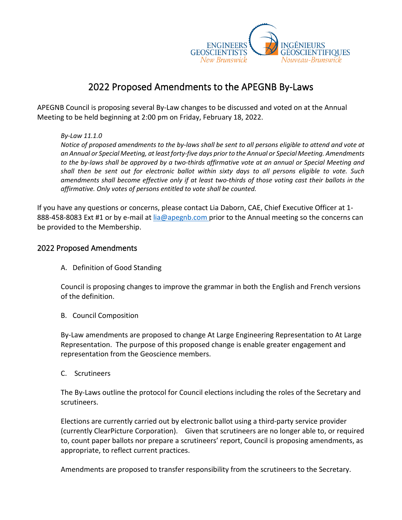

## 2022 Proposed Amendments to the APEGNB By-Laws

APEGNB Council is proposing several By-Law changes to be discussed and voted on at the Annual Meeting to be held beginning at 2:00 pm on Friday, February 18, 2022.

## *By-Law 11.1.0*

*Notice of proposed amendments to the by-laws shall be sent to all persons eligible to attend and vote at an Annual or Special Meeting, at least forty-five days prior to the Annual or Special Meeting. Amendments to the by-laws shall be approved by a two-thirds affirmative vote at an annual or Special Meeting and shall then be sent out for electronic ballot within sixty days to all persons eligible to vote. Such amendments shall become effective only if at least two-thirds of those voting cast their ballots in the affirmative. Only votes of persons entitled to vote shall be counted.*

If you have any questions or concerns, please contact Lia Daborn, CAE, Chief Executive Officer at 1 888-458-8083 Ext #1 or by e-mail at [lia@apegnb.com](mailto:lia@apegnb.com) prior to the Annual meeting so the concerns can be provided to the Membership.

## 2022 Proposed Amendments

A. Definition of Good Standing

Council is proposing changes to improve the grammar in both the English and French versions of the definition.

B. Council Composition

By-Law amendments are proposed to change At Large Engineering Representation to At Large Representation. The purpose of this proposed change is enable greater engagement and representation from the Geoscience members.

C. Scrutineers

The By-Laws outline the protocol for Council elections including the roles of the Secretary and scrutineers.

Elections are currently carried out by electronic ballot using a third-party service provider (currently ClearPicture Corporation). Given that scrutineers are no longer able to, or required to, count paper ballots nor prepare a scrutineers' report, Council is proposing amendments, as appropriate, to reflect current practices.

Amendments are proposed to transfer responsibility from the scrutineers to the Secretary.